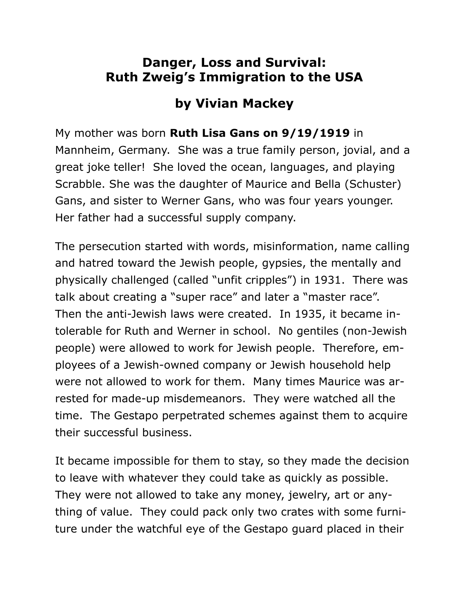## **Danger, Loss and Survival: Ruth Zweig's Immigration to the USA**

## **by Vivian Mackey**

My mother was born **Ruth Lisa Gans on 9/19/1919** in

Mannheim, Germany. She was a true family person, jovial, and a great joke teller! She loved the ocean, languages, and playing Scrabble. She was the daughter of Maurice and Bella (Schuster) Gans, and sister to Werner Gans, who was four years younger. Her father had a successful supply company.

The persecution started with words, misinformation, name calling and hatred toward the Jewish people, gypsies, the mentally and physically challenged (called "unfit cripples") in 1931. There was talk about creating a "super race" and later a "master race". Then the anti-Jewish laws were created. In 1935, it became intolerable for Ruth and Werner in school. No gentiles (non-Jewish people) were allowed to work for Jewish people. Therefore, employees of a Jewish-owned company or Jewish household help were not allowed to work for them. Many times Maurice was arrested for made-up misdemeanors. They were watched all the time. The Gestapo perpetrated schemes against them to acquire their successful business.

It became impossible for them to stay, so they made the decision to leave with whatever they could take as quickly as possible. They were not allowed to take any money, jewelry, art or anything of value. They could pack only two crates with some furniture under the watchful eye of the Gestapo guard placed in their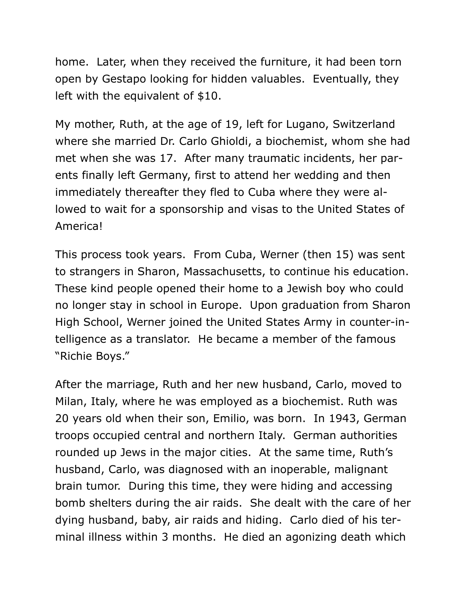home. Later, when they received the furniture, it had been torn open by Gestapo looking for hidden valuables. Eventually, they left with the equivalent of \$10.

My mother, Ruth, at the age of 19, left for Lugano, Switzerland where she married Dr. Carlo Ghioldi, a biochemist, whom she had met when she was 17. After many traumatic incidents, her parents finally left Germany, first to attend her wedding and then immediately thereafter they fled to Cuba where they were allowed to wait for a sponsorship and visas to the United States of America!

This process took years. From Cuba, Werner (then 15) was sent to strangers in Sharon, Massachusetts, to continue his education. These kind people opened their home to a Jewish boy who could no longer stay in school in Europe. Upon graduation from Sharon High School, Werner joined the United States Army in counter-intelligence as a translator. He became a member of the famous "Richie Boys."

After the marriage, Ruth and her new husband, Carlo, moved to Milan, Italy, where he was employed as a biochemist. Ruth was 20 years old when their son, Emilio, was born. In 1943, German troops occupied central and northern Italy. German authorities rounded up Jews in the major cities. At the same time, Ruth's husband, Carlo, was diagnosed with an inoperable, malignant brain tumor. During this time, they were hiding and accessing bomb shelters during the air raids. She dealt with the care of her dying husband, baby, air raids and hiding. Carlo died of his terminal illness within 3 months. He died an agonizing death which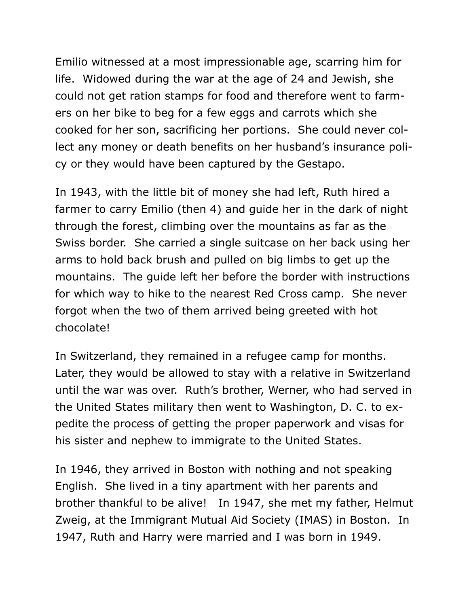Emilio witnessed at a most impressionable age, scarring him for life. Widowed during the war at the age of 24 and Jewish, she could not get ration stamps for food and therefore went to farmers on her bike to beg for a few eggs and carrots which she cooked for her son, sacrificing her portions. She could never collect any money or death benefits on her husband's insurance policy or they would have been captured by the Gestapo.

In 1943, with the little bit of money she had left, Ruth hired a farmer to carry Emilio (then 4) and guide her in the dark of night through the forest, climbing over the mountains as far as the Swiss border. She carried a single suitcase on her back using her arms to hold back brush and pulled on big limbs to get up the mountains. The guide left her before the border with instructions for which way to hike to the nearest Red Cross camp. She never forgot when the two of them arrived being greeted with hot chocolate!

In Switzerland, they remained in a refugee camp for months. Later, they would be allowed to stay with a relative in Switzerland until the war was over. Ruth's brother, Werner, who had served in the United States military then went to Washington, D. C. to expedite the process of getting the proper paperwork and visas for his sister and nephew to immigrate to the United States.

In 1946, they arrived in Boston with nothing and not speaking English. She lived in a tiny apartment with her parents and brother thankful to be alive! In 1947, she met my father, Helmut Zweig, at the Immigrant Mutual Aid Society (IMAS) in Boston. In 1947, Ruth and Harry were married and I was born in 1949.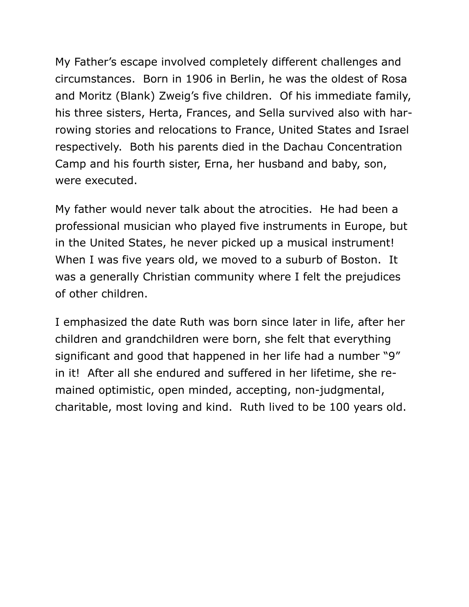My Father's escape involved completely different challenges and circumstances. Born in 1906 in Berlin, he was the oldest of Rosa and Moritz (Blank) Zweig's five children. Of his immediate family, his three sisters, Herta, Frances, and Sella survived also with harrowing stories and relocations to France, United States and Israel respectively. Both his parents died in the Dachau Concentration Camp and his fourth sister, Erna, her husband and baby, son, were executed.

My father would never talk about the atrocities. He had been a professional musician who played five instruments in Europe, but in the United States, he never picked up a musical instrument! When I was five years old, we moved to a suburb of Boston. It was a generally Christian community where I felt the prejudices of other children.

I emphasized the date Ruth was born since later in life, after her children and grandchildren were born, she felt that everything significant and good that happened in her life had a number "9" in it! After all she endured and suffered in her lifetime, she remained optimistic, open minded, accepting, non-judgmental, charitable, most loving and kind. Ruth lived to be 100 years old.